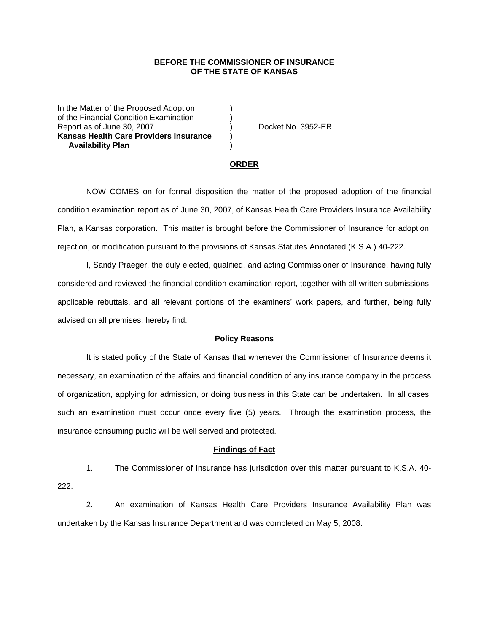## **BEFORE THE COMMISSIONER OF INSURANCE OF THE STATE OF KANSAS**

In the Matter of the Proposed Adoption of the Financial Condition Examination ) Report as of June 30, 2007 (and Separate Separate No. 3952-ER **Kansas Health Care Providers Insurance** )  **Availability Plan** )

#### **ORDER**

 NOW COMES on for formal disposition the matter of the proposed adoption of the financial condition examination report as of June 30, 2007, of Kansas Health Care Providers Insurance Availability Plan, a Kansas corporation. This matter is brought before the Commissioner of Insurance for adoption, rejection, or modification pursuant to the provisions of Kansas Statutes Annotated (K.S.A.) 40-222.

 I, Sandy Praeger, the duly elected, qualified, and acting Commissioner of Insurance, having fully considered and reviewed the financial condition examination report, together with all written submissions, applicable rebuttals, and all relevant portions of the examiners' work papers, and further, being fully advised on all premises, hereby find:

#### **Policy Reasons**

 It is stated policy of the State of Kansas that whenever the Commissioner of Insurance deems it necessary, an examination of the affairs and financial condition of any insurance company in the process of organization, applying for admission, or doing business in this State can be undertaken. In all cases, such an examination must occur once every five (5) years. Through the examination process, the insurance consuming public will be well served and protected.

#### **Findings of Fact**

 1. The Commissioner of Insurance has jurisdiction over this matter pursuant to K.S.A. 40- 222.

 2. An examination of Kansas Health Care Providers Insurance Availability Plan was undertaken by the Kansas Insurance Department and was completed on May 5, 2008.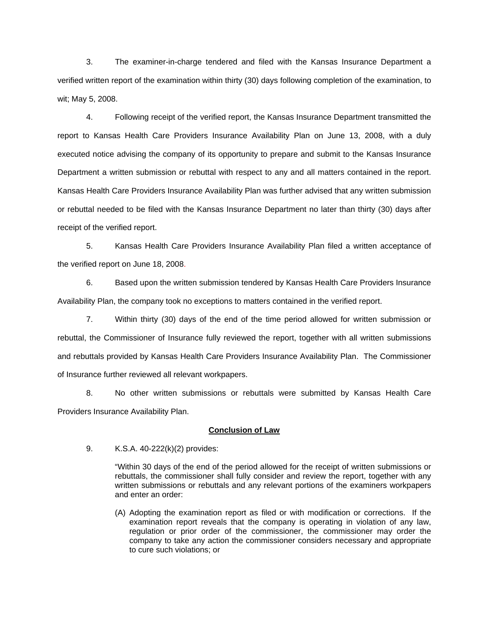3. The examiner-in-charge tendered and filed with the Kansas Insurance Department a verified written report of the examination within thirty (30) days following completion of the examination, to wit; May 5, 2008.

 4. Following receipt of the verified report, the Kansas Insurance Department transmitted the report to Kansas Health Care Providers Insurance Availability Plan on June 13, 2008, with a duly executed notice advising the company of its opportunity to prepare and submit to the Kansas Insurance Department a written submission or rebuttal with respect to any and all matters contained in the report. Kansas Health Care Providers Insurance Availability Plan was further advised that any written submission or rebuttal needed to be filed with the Kansas Insurance Department no later than thirty (30) days after receipt of the verified report.

 5. Kansas Health Care Providers Insurance Availability Plan filed a written acceptance of the verified report on June 18, 2008.

6. Based upon the written submission tendered by Kansas Health Care Providers Insurance Availability Plan, the company took no exceptions to matters contained in the verified report.

 7. Within thirty (30) days of the end of the time period allowed for written submission or rebuttal, the Commissioner of Insurance fully reviewed the report, together with all written submissions and rebuttals provided by Kansas Health Care Providers Insurance Availability Plan. The Commissioner of Insurance further reviewed all relevant workpapers.

 8. No other written submissions or rebuttals were submitted by Kansas Health Care Providers Insurance Availability Plan.

### **Conclusion of Law**

9. K.S.A. 40-222(k)(2) provides:

"Within 30 days of the end of the period allowed for the receipt of written submissions or rebuttals, the commissioner shall fully consider and review the report, together with any written submissions or rebuttals and any relevant portions of the examiners workpapers and enter an order:

(A) Adopting the examination report as filed or with modification or corrections. If the examination report reveals that the company is operating in violation of any law, regulation or prior order of the commissioner, the commissioner may order the company to take any action the commissioner considers necessary and appropriate to cure such violations; or